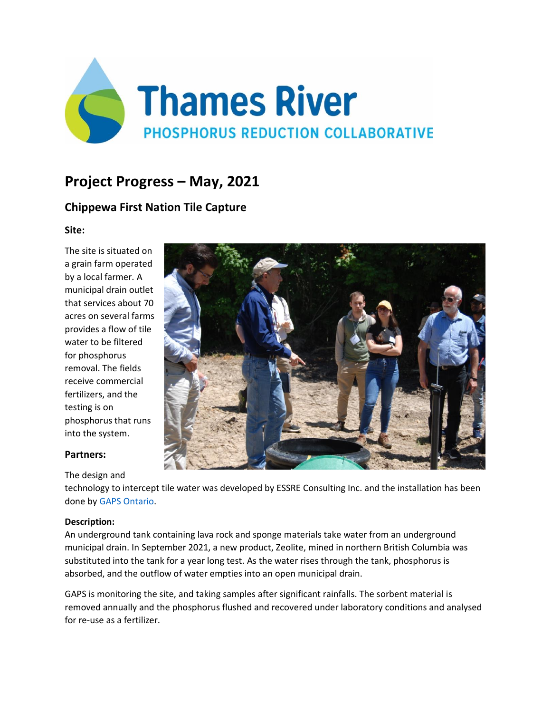

# **Project Progress – May, 2021**

# **Chippewa First Nation Tile Capture**

**Site:** 

The site is situated on a grain farm operated by a local farmer. A municipal drain outlet that services about 70 acres on several farms provides a flow of tile water to be filtered for phosphorus removal. The fields receive commercial fertilizers, and the testing is on phosphorus that runs into the system.



## **Partners:**

#### The design and

technology to intercept tile water was developed by ESSRE Consulting Inc. and the installation has been done b[y GAPS Ontario.](http://gapsontario.com/about-us) 

### **Description:**

An underground tank containing lava rock and sponge materials take water from an underground municipal drain. In September 2021, a new product, Zeolite, mined in northern British Columbia was substituted into the tank for a year long test. As the water rises through the tank, phosphorus is absorbed, and the outflow of water empties into an open municipal drain.

GAPS is monitoring the site, and taking samples after significant rainfalls. The sorbent material is removed annually and the phosphorus flushed and recovered under laboratory conditions and analysed for re-use as a fertilizer.